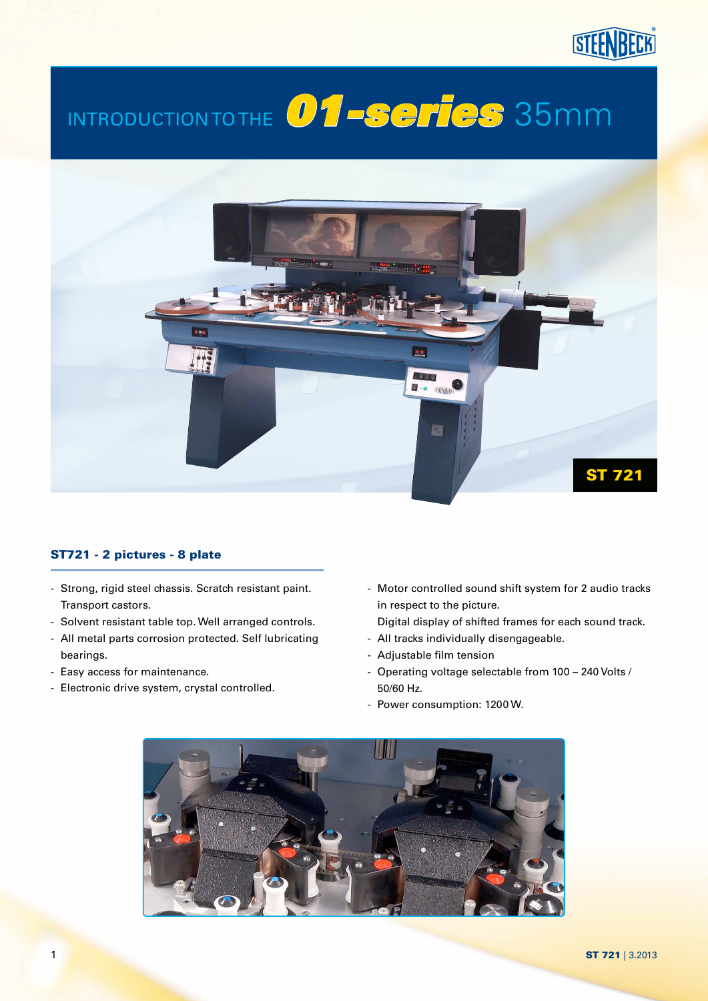## **STEENBECK**

# Introduction to the *01-series* 35mm



#### ST721 - 2 pictures - 8 plate

- Strong, rigid steel chassis. Scratch resistant paint. Transport castors.
- Solvent resistant table top. Well arranged controls.
- All metal parts corrosion protected. Self lubricating bearings.
- Easy access for maintenance.
- Electronic drive system, crystal controlled.
- Motor controlled sound shift system for 2 audio tracks in respect to the picture.
- Digital display of shifted frames for each sound track.
- All tracks individually disengageable.
- Adjustable film tension
- Operating voltage selectable from 100 240 Volts / 50/60 Hz.
- Power consumption: 1200 W.

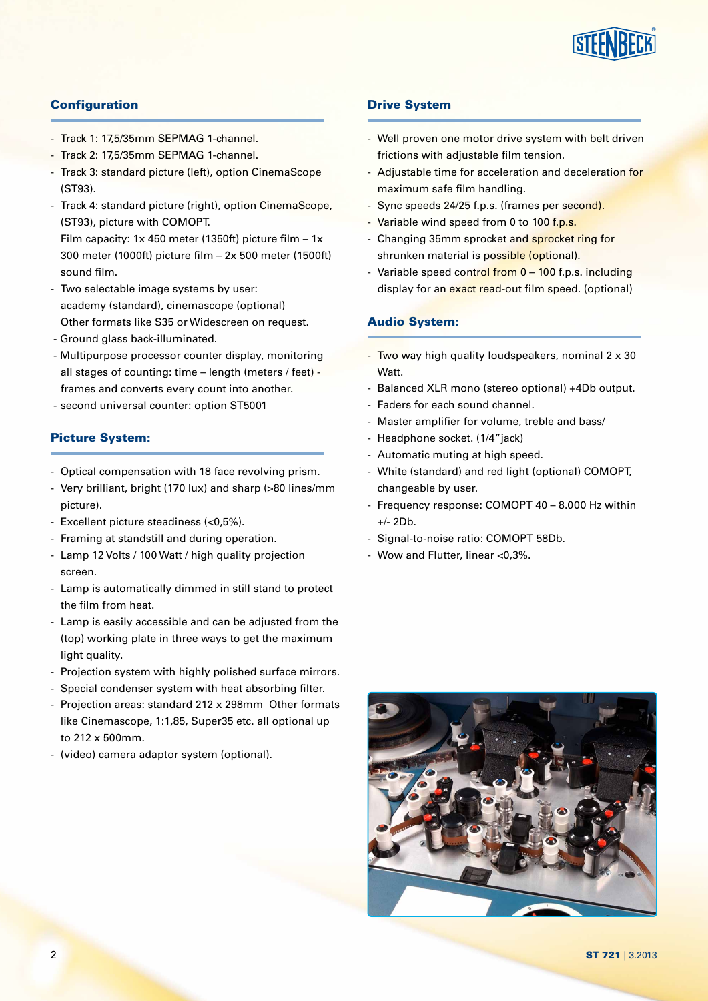

#### **Configuration**

- Track 1: 17,5/35mm SEPMAG 1-channel.
- Track 2: 17,5/35mm SEPMAG 1-channel.
- Track 3: standard picture (left), option CinemaScope (ST93).
- Track 4: standard picture (right), option CinemaScope, (ST93), picture with COMOPT.

Film capacity: 1x 450 meter (1350ft) picture film  $-1x$ 300 meter (1000ft) picture film – 2x 500 meter (1500ft) sound film.

- Two selectable image systems by user: academy (standard), cinemascope (optional) Other formats like S35 or Widescreen on request.
- Ground glass back-illuminated.
- Multipurpose processor counter display, monitoring all stages of counting: time  $-$  length (meters / feet)  $$ frames and converts every count into another.
- second universal counter: option ST5001

#### Picture System:

- Optical compensation with 18 face revolving prism.
- Very brilliant, bright (170 lux) and sharp (>80 lines/mm picture).
- Excellent picture steadiness (<0,5%).
- Framing at standstill and during operation.
- Lamp 12 Volts / 100 Watt / high quality projection screen.
- Lamp is automatically dimmed in still stand to protect the film from heat.
- Lamp is easily accessible and can be adjusted from the (top) working plate in three ways to get the maximum light quality.
- Projection system with highly polished surface mirrors.
- Special condenser system with heat absorbing filter.
- Projection areas: standard 212 x 298mm Other formats like Cinemascope, 1:1,85, Super35 etc. all optional up to 212 x 500mm.
- (video) camera adaptor system (optional).

#### Drive System

- Well proven one motor drive system with belt driven frictions with adjustable film tension.
- Adjustable time for acceleration and deceleration for maximum safe film handling.
- Sync speeds 24/25 f.p.s. (frames per second).
- Variable wind speed from 0 to 100 f.p.s.
- Changing 35mm sprocket and sprocket ring for shrunken material is possible (optional).
- Variable speed control from 0 100 f.p.s. including display for an exact read-out film speed. (optional)

#### Audio System:

- Two way high quality loudspeakers, nominal 2 x 30 Watt.
- Balanced XLR mono (stereo optional) +4Db output.
- Faders for each sound channel.
- Master amplifier for volume, treble and bass/
- Headphone socket. (1/4"jack)
- Automatic muting at high speed.
- White (standard) and red light (optional) COMOPT, changeable by user.
- Frequency response: COMOPT 40 8.000 Hz within +/- 2Db.
- Signal-to-noise ratio: COMOPT 58Db.
- Wow and Flutter, linear <0,3%.